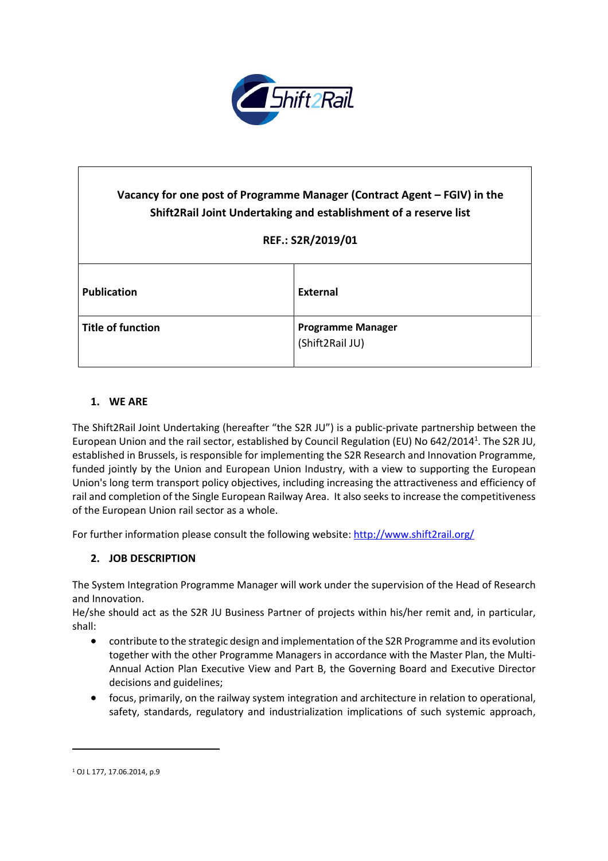

# **Vacancy for one post of Programme Manager (Contract Agent – FGIV) in the Shift2Rail Joint Undertaking and establishment of a reserve list REF.: S2R/2019/01 Publication External Title of function Programme Manager** (Shift2Rail JU)

# **1. WE ARE**

The Shift2Rail Joint Undertaking (hereafter "the S2R JU") is a public-private partnership between the European Union and the rail sector, established by Council Regulation (EU) No 642/2014<sup>1</sup>. The S2R JU, established in Brussels, is responsible for implementing the S2R Research and Innovation Programme, funded jointly by the Union and European Union Industry, with a view to supporting the European Union's long term transport policy objectives, including increasing the attractiveness and efficiency of rail and completion of the Single European Railway Area. It also seeks to increase the competitiveness of the European Union rail sector as a whole.

For further information please consult the following website: <http://www.shift2rail.org/>

## **2. JOB DESCRIPTION**

The System Integration Programme Manager will work under the supervision of the Head of Research and Innovation.

He/she should act as the S2R JU Business Partner of projects within his/her remit and, in particular, shall:

- contribute to the strategic design and implementation of the S2R Programme and its evolution together with the other Programme Managers in accordance with the Master Plan, the Multi-Annual Action Plan Executive View and Part B, the Governing Board and Executive Director decisions and guidelines;
- focus, primarily, on the railway system integration and architecture in relation to operational, safety, standards, regulatory and industrialization implications of such systemic approach,

 $\ddot{\phantom{a}}$ 

<sup>1</sup> OJ L 177, 17.06.2014, p.9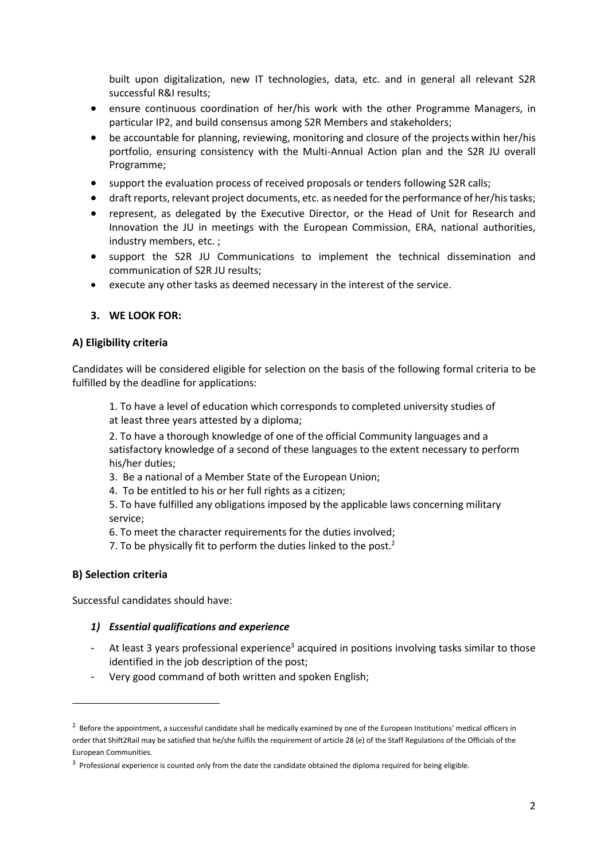built upon digitalization, new IT technologies, data, etc. and in general all relevant S2R successful R&I results;

- ensure continuous coordination of her/his work with the other Programme Managers, in particular IP2, and build consensus among S2R Members and stakeholders;
- be accountable for planning, reviewing, monitoring and closure of the projects within her/his portfolio, ensuring consistency with the Multi-Annual Action plan and the S2R JU overall Programme;
- support the evaluation process of received proposals or tenders following S2R calls;
- draft reports, relevant project documents, etc. as needed for the performance of her/his tasks;
- represent, as delegated by the Executive Director, or the Head of Unit for Research and Innovation the JU in meetings with the European Commission, ERA, national authorities, industry members, etc. ;
- support the S2R JU Communications to implement the technical dissemination and communication of S2R JU results;
- execute any other tasks as deemed necessary in the interest of the service.

#### **3. WE LOOK FOR:**

#### **A) Eligibility criteria**

Candidates will be considered eligible for selection on the basis of the following formal criteria to be fulfilled by the deadline for applications:

1. To have a level of education which corresponds to completed university studies of at least three years attested by a diploma;

2. To have a thorough knowledge of one of the official Community languages and a satisfactory knowledge of a second of these languages to the extent necessary to perform his/her duties;

- 3. Be a national of a Member State of the European Union;
- 4. To be entitled to his or her full rights as a citizen;

5. To have fulfilled any obligations imposed by the applicable laws concerning military service;

- 6. To meet the character requirements for the duties involved;
- 7. To be physically fit to perform the duties linked to the post. $2$

#### **B) Selection criteria**

 $\overline{a}$ 

Successful candidates should have:

#### *1) Essential qualifications and experience*

- At least 3 years professional experience<sup>3</sup> acquired in positions involving tasks similar to those identified in the job description of the post;
- Very good command of both written and spoken English;

 $^2$  Before the appointment, a successful candidate shall be medically examined by one of the European Institutions' medical officers in order that Shift2Rail may be satisfied that he/she fulfils the requirement of article 28 (e) of the Staff Regulations of the Officials of the European Communities.

 $3$  Professional experience is counted only from the date the candidate obtained the diploma required for being eligible.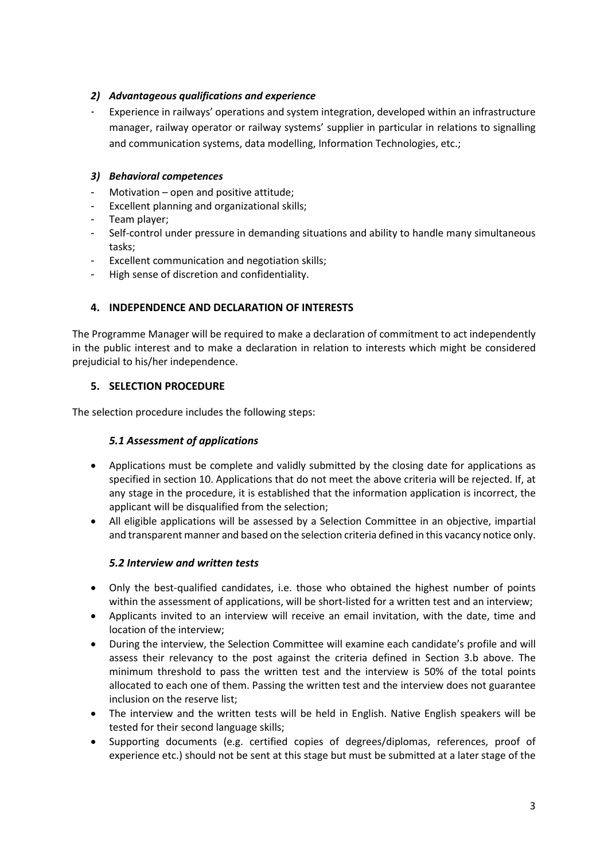# *2) Advantageous qualifications and experience*

- Experience in railways' operations and system integration, developed within an infrastructure manager, railway operator or railway systems' supplier in particular in relations to signalling and communication systems, data modelling, Information Technologies, etc.;

# *3) Behavioral competences*

- Motivation open and positive attitude;
- Excellent planning and organizational skills;
- Team player;
- Self-control under pressure in demanding situations and ability to handle many simultaneous tasks;
- Excellent communication and negotiation skills;
- High sense of discretion and confidentiality.

# **4. INDEPENDENCE AND DECLARATION OF INTERESTS**

The Programme Manager will be required to make a declaration of commitment to act independently in the public interest and to make a declaration in relation to interests which might be considered prejudicial to his/her independence.

# **5. SELECTION PROCEDURE**

The selection procedure includes the following steps:

## *5.1 Assessment of applications*

- Applications must be complete and validly submitted by the closing date for applications as specified in section 10. Applications that do not meet the above criteria will be rejected. If, at any stage in the procedure, it is established that the information application is incorrect, the applicant will be disqualified from the selection;
- All eligible applications will be assessed by a Selection Committee in an objective, impartial and transparent manner and based on the selection criteria defined in this vacancy notice only.

## *5.2 Interview and written tests*

- Only the best-qualified candidates, i.e. those who obtained the highest number of points within the assessment of applications, will be short-listed for a written test and an interview;
- Applicants invited to an interview will receive an email invitation, with the date, time and location of the interview;
- During the interview, the Selection Committee will examine each candidate's profile and will assess their relevancy to the post against the criteria defined in Section 3.b above. The minimum threshold to pass the written test and the interview is 50% of the total points allocated to each one of them. Passing the written test and the interview does not guarantee inclusion on the reserve list;
- The interview and the written tests will be held in English. Native English speakers will be tested for their second language skills;
- Supporting documents (e.g. certified copies of degrees/diplomas, references, proof of experience etc.) should not be sent at this stage but must be submitted at a later stage of the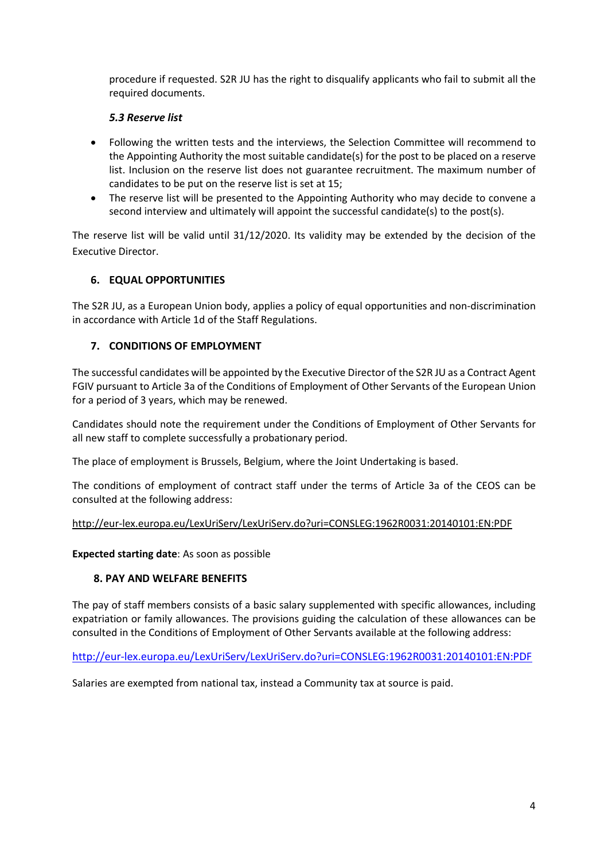procedure if requested. S2R JU has the right to disqualify applicants who fail to submit all the required documents.

## *5.3 Reserve list*

- Following the written tests and the interviews, the Selection Committee will recommend to the Appointing Authority the most suitable candidate(s) for the post to be placed on a reserve list. Inclusion on the reserve list does not guarantee recruitment. The maximum number of candidates to be put on the reserve list is set at 15;
- The reserve list will be presented to the Appointing Authority who may decide to convene a second interview and ultimately will appoint the successful candidate(s) to the post(s).

The reserve list will be valid until 31/12/2020. Its validity may be extended by the decision of the Executive Director.

# **6. EQUAL OPPORTUNITIES**

The S2R JU, as a European Union body, applies a policy of equal opportunities and non-discrimination in accordance with Article 1d of the Staff Regulations.

## **7. CONDITIONS OF EMPLOYMENT**

The successful candidates will be appointed by the Executive Director of the S2R JU as a Contract Agent FGIV pursuant to Article 3a of the Conditions of Employment of Other Servants of the European Union for a period of 3 years, which may be renewed.

Candidates should note the requirement under the Conditions of Employment of Other Servants for all new staff to complete successfully a probationary period.

The place of employment is Brussels, Belgium, where the Joint Undertaking is based.

The conditions of employment of contract staff under the terms of Article 3a of the CEOS can be consulted at the following address:

#### <http://eur-lex.europa.eu/LexUriServ/LexUriServ.do?uri=CONSLEG:1962R0031:20140101:EN:PDF>

**Expected starting date**: As soon as possible

## **8. PAY AND WELFARE BENEFITS**

The pay of staff members consists of a basic salary supplemented with specific allowances, including expatriation or family allowances. The provisions guiding the calculation of these allowances can be consulted in the Conditions of Employment of Other Servants available at the following address:

<http://eur-lex.europa.eu/LexUriServ/LexUriServ.do?uri=CONSLEG:1962R0031:20140101:EN:PDF>

Salaries are exempted from national tax, instead a Community tax at source is paid.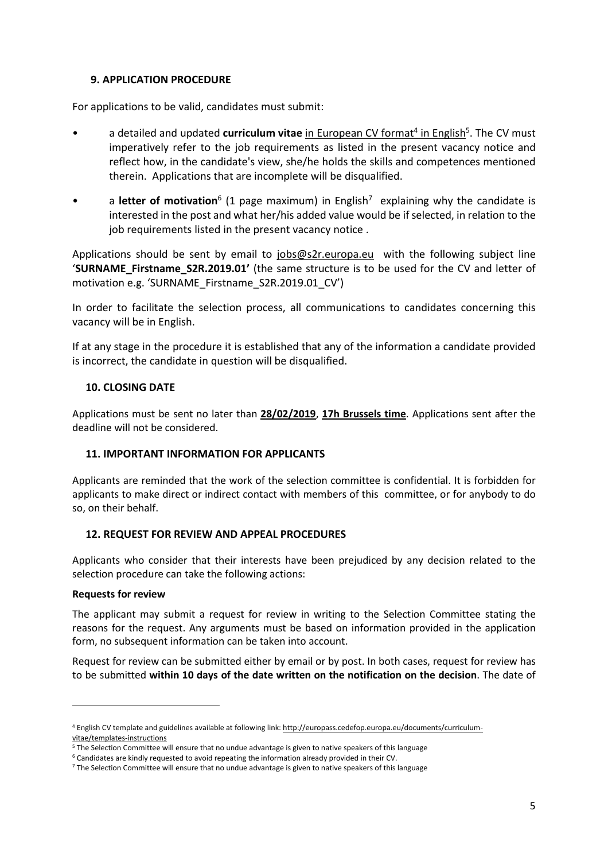#### **9. APPLICATION PROCEDURE**

For applications to be valid, candidates must submit:

- a detailed and updated **curriculum vitae** in European CV format<sup>4</sup> in English<sup>5</sup>. The CV must imperatively refer to the job requirements as listed in the present vacancy notice and reflect how, in the candidate's view, she/he holds the skills and competences mentioned therein. Applications that are incomplete will be disqualified.
- a letter of motivation<sup>6</sup> (1 page maximum) in English<sup>7</sup> explaining why the candidate is interested in the post and what her/his added value would be if selected, in relation to the job requirements listed in the present vacancy notice .

Applications should be sent by email to [jobs@s2r.europa.eu](mailto:jobs@s2r.europa.eu) with the following subject line '**SURNAME\_Firstname\_S2R.2019.01'** (the same structure is to be used for the CV and letter of motivation e.g. 'SURNAME\_Firstname\_S2R.2019.01\_CV')

In order to facilitate the selection process, all communications to candidates concerning this vacancy will be in English.

If at any stage in the procedure it is established that any of the information a candidate provided is incorrect, the candidate in question will be disqualified.

#### **10. CLOSING DATE**

Applications must be sent no later than **28/02/2019**, **17h Brussels time**. Applications sent after the deadline will not be considered.

## **11. IMPORTANT INFORMATION FOR APPLICANTS**

Applicants are reminded that the work of the selection committee is confidential. It is forbidden for applicants to make direct or indirect contact with members of this committee, or for anybody to do so, on their behalf.

#### **12. REQUEST FOR REVIEW AND APPEAL PROCEDURES**

Applicants who consider that their interests have been prejudiced by any decision related to the selection procedure can take the following actions:

#### **Requests for review**

1

The applicant may submit a request for review in writing to the Selection Committee stating the reasons for the request. Any arguments must be based on information provided in the application form, no subsequent information can be taken into account.

Request for review can be submitted either by email or by post. In both cases, request for review has to be submitted **within 10 days of the date written on the notification on the decision**. The date of

<sup>4</sup> English CV template and guidelines available at following link: [http://europass.cedefop.europa.eu/documents/curriculum](http://europass.cedefop.europa.eu/documents/curriculum-vitae/templates-instructions)[vitae/templates-instructions](http://europass.cedefop.europa.eu/documents/curriculum-vitae/templates-instructions)

<sup>&</sup>lt;sup>5</sup> The Selection Committee will ensure that no undue advantage is given to native speakers of this language

<sup>6</sup> Candidates are kindly requested to avoid repeating the information already provided in their CV.

<sup>&</sup>lt;sup>7</sup> The Selection Committee will ensure that no undue advantage is given to native speakers of this language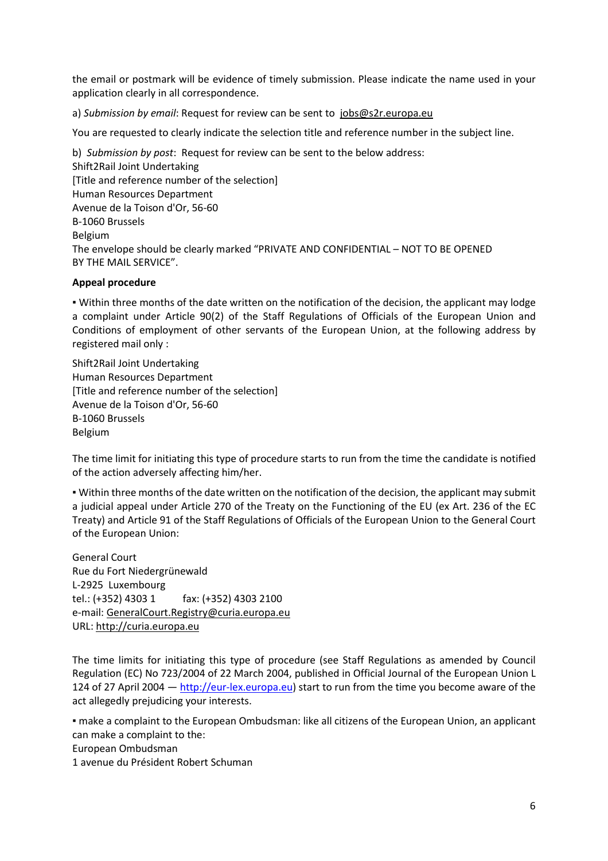the email or postmark will be evidence of timely submission. Please indicate the name used in your application clearly in all correspondence.

a) *Submission by email*: Request for review can be sent to [jobs@s2r.europa.eu](mailto:jobs@s2r.europa.eu)

You are requested to clearly indicate the selection title and reference number in the subject line.

b) *Submission by post*: Request for review can be sent to the below address: Shift2Rail Joint Undertaking [Title and reference number of the selection] Human Resources Department Avenue de la Toison d'Or, 56-60 B-1060 Brussels Belgium The envelope should be clearly marked "PRIVATE AND CONFIDENTIAL – NOT TO BE OPENED BY THE MAIL SERVICE".

#### **Appeal procedure**

▪ Within three months of the date written on the notification of the decision, the applicant may lodge a complaint under Article 90(2) of the Staff Regulations of Officials of the European Union and Conditions of employment of other servants of the European Union, at the following address by registered mail only :

Shift2Rail Joint Undertaking Human Resources Department [Title and reference number of the selection] Avenue de la Toison d'Or, 56-60 B-1060 Brussels Belgium

The time limit for initiating this type of procedure starts to run from the time the candidate is notified of the action adversely affecting him/her.

▪ Within three months of the date written on the notification of the decision, the applicant may submit a judicial appeal under Article 270 of the Treaty on the Functioning of the EU (ex Art. 236 of the EC Treaty) and Article 91 of the Staff Regulations of Officials of the European Union to the General Court of the European Union:

General Court Rue du Fort Niedergrünewald L-2925 Luxembourg tel.: (+352) 4303 1 fax: (+352) 4303 2100 e-mail: [GeneralCourt.Registry@curia.europa.eu](mailto:GeneralCourt.Registry@curia.europa.eu) URL: [http://curia.europa.eu](http://curia.europa.eu/)

The time limits for initiating this type of procedure (see Staff Regulations as amended by Council Regulation (EC) No 723/2004 of 22 March 2004, published in Official Journal of the European Union L 124 of 27 April 2004 - [http://eur-lex.europa.eu\)](http://eur-lex.europa.eu/) start to run from the time you become aware of the act allegedly prejudicing your interests.

▪ make a complaint to the European Ombudsman: like all citizens of the European Union, an applicant can make a complaint to the: European Ombudsman

1 avenue du Président Robert Schuman